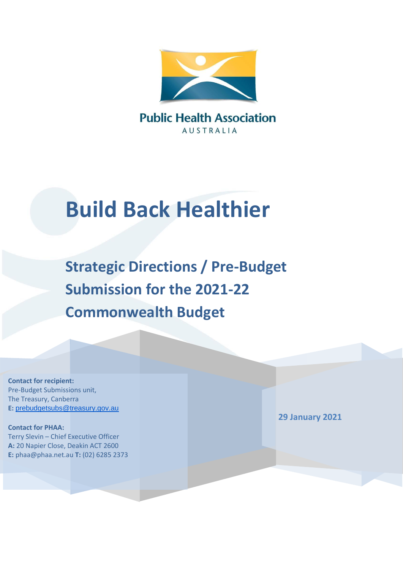

**AUSTRALIA** 

# **Build Back Healthier**

**Strategic Directions / Pre-Budget Submission for the 2021-22 Commonwealth Budget**

**Contact for recipient:** Pre-Budget Submissions unit, The Treasury, Canberra **E:** [prebudgetsubs@treasury.gov.au](mailto:prebudgetsubs@treasury.gov.au)

**Contact for PHAA:** Terry Slevin – Chief Executive Officer **A:** 20 Napier Close, Deakin ACT 2600 **E:** phaa@phaa.net.au **T:** (02) 6285 2373 **29 January 2021**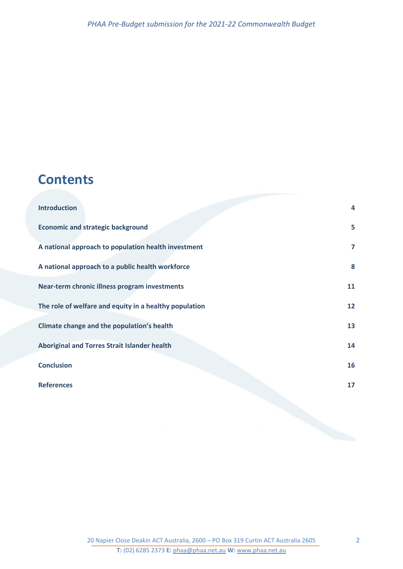## **Contents**

| <b>Introduction</b>                                    | $\overline{a}$ |
|--------------------------------------------------------|----------------|
| <b>Economic and strategic background</b>               | 5              |
| A national approach to population health investment    | $\overline{7}$ |
| A national approach to a public health workforce       | 8              |
| Near-term chronic illness program investments          | 11             |
| The role of welfare and equity in a healthy population | 12             |
| Climate change and the population's health             | 13             |
| <b>Aboriginal and Torres Strait Islander health</b>    | 14             |
| <b>Conclusion</b>                                      | 16             |
| <b>References</b>                                      | 17             |
|                                                        |                |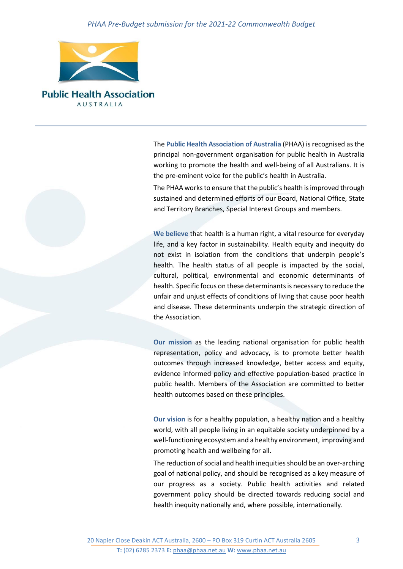

**Public Health Association AUSTRALIA** 

> The **Public Health Association of Australia** (PHAA) is recognised as the principal non-government organisation for public health in Australia working to promote the health and well-being of all Australians. It is the pre-eminent voice for the public's health in Australia.

> The PHAA works to ensure that the public's health is improved through sustained and determined efforts of our Board, National Office, State and Territory Branches, Special Interest Groups and members.

> **We believe** that health is a human right, a vital resource for everyday life, and a key factor in sustainability. Health equity and inequity do not exist in isolation from the conditions that underpin people's health. The health status of all people is impacted by the social, cultural, political, environmental and economic determinants of health. Specific focus on these determinants is necessary to reduce the unfair and unjust effects of conditions of living that cause poor health and disease. These determinants underpin the strategic direction of the Association.

> **Our mission** as the leading national organisation for public health representation, policy and advocacy, is to promote better health outcomes through increased knowledge, better access and equity, evidence informed policy and effective population-based practice in public health. Members of the Association are committed to better health outcomes based on these principles.

> **Our vision** is for a healthy population, a healthy nation and a healthy world, with all people living in an equitable society underpinned by a well-functioning ecosystem and a healthy environment, improving and promoting health and wellbeing for all.

> The reduction of social and health inequities should be an over-arching goal of national policy, and should be recognised as a key measure of our progress as a society. Public health activities and related government policy should be directed towards reducing social and health inequity nationally and, where possible, internationally.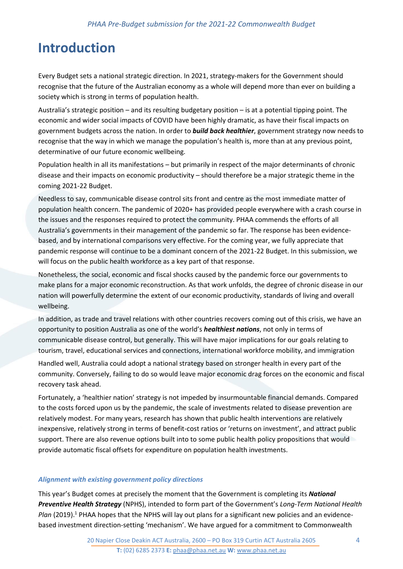## <span id="page-3-0"></span>**Introduction**

Every Budget sets a national strategic direction. In 2021, strategy-makers for the Government should recognise that the future of the Australian economy as a whole will depend more than ever on building a society which is strong in terms of population health.

Australia's strategic position – and its resulting budgetary position – is at a potential tipping point. The economic and wider social impacts of COVID have been highly dramatic, as have their fiscal impacts on government budgets across the nation. In order to *build back healthier*, government strategy now needs to recognise that the way in which we manage the population's health is, more than at any previous point, determinative of our future economic wellbeing.

Population health in all its manifestations – but primarily in respect of the major determinants of chronic disease and their impacts on economic productivity – should therefore be a major strategic theme in the coming 2021-22 Budget.

Needless to say, communicable disease control sits front and centre as the most immediate matter of population health concern. The pandemic of 2020+ has provided people everywhere with a crash course in the issues and the responses required to protect the community. PHAA commends the efforts of all Australia's governments in their management of the pandemic so far. The response has been evidencebased, and by international comparisons very effective. For the coming year, we fully appreciate that pandemic response will continue to be a dominant concern of the 2021-22 Budget. In this submission, we will focus on the public health workforce as a key part of that response.

Nonetheless, the social, economic and fiscal shocks caused by the pandemic force our governments to make plans for a major economic reconstruction. As that work unfolds, the degree of chronic disease in our nation will powerfully determine the extent of our economic productivity, standards of living and overall wellbeing.

In addition, as trade and travel relations with other countries recovers coming out of this crisis, we have an opportunity to position Australia as one of the world's *healthiest nations*, not only in terms of communicable disease control, but generally. This will have major implications for our goals relating to tourism, travel, educational services and connections, international workforce mobility, and immigration

Handled well, Australia could adopt a national strategy based on stronger health in every part of the community. Conversely, failing to do so would leave major economic drag forces on the economic and fiscal recovery task ahead.

Fortunately, a 'healthier nation' strategy is not impeded by insurmountable financial demands. Compared to the costs forced upon us by the pandemic, the scale of investments related to disease prevention are relatively modest. For many years, research has shown that public health interventions are relatively inexpensive, relatively strong in terms of benefit-cost ratios or 'returns on investment', and attract public support. There are also revenue options built into to some public health policy propositions that would provide automatic fiscal offsets for expenditure on population health investments.

#### *Alignment with existing government policy directions*

This year's Budget comes at precisely the moment that the Government is completing its *National Preventive Health Strategy* (NPHS), intended to form part of the Government's *Long-Term National Health*  Plan (2019).<sup>1</sup> PHAA hopes that the NPHS will lay out plans for a significant new policies and an evidencebased investment direction-setting 'mechanism'. We have argued for a commitment to Commonwealth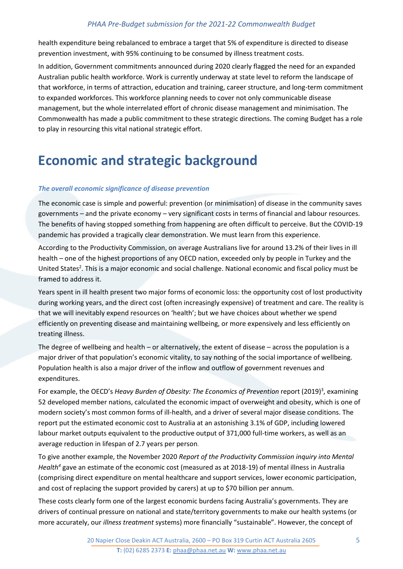health expenditure being rebalanced to embrace a target that 5% of expenditure is directed to disease prevention investment, with 95% continuing to be consumed by illness treatment costs.

In addition, Government commitments announced during 2020 clearly flagged the need for an expanded Australian public health workforce. Work is currently underway at state level to reform the landscape of that workforce, in terms of attraction, education and training, career structure, and long-term commitment to expanded workforces. This workforce planning needs to cover not only communicable disease management, but the whole interrelated effort of chronic disease management and minimisation. The Commonwealth has made a public commitment to these strategic directions. The coming Budget has a role to play in resourcing this vital national strategic effort.

## <span id="page-4-0"></span>**Economic and strategic background**

#### *The overall economic significance of disease prevention*

The economic case is simple and powerful: prevention (or minimisation) of disease in the community saves governments – and the private economy – very significant costs in terms of financial and labour resources. The benefits of having stopped something from happening are often difficult to perceive. But the COVID-19 pandemic has provided a tragically clear demonstration. We must learn from this experience.

According to the Productivity Commission, on average Australians live for around 13.2% of their lives in ill health – one of the highest proportions of any OECD nation, exceeded only by people in Turkey and the United States<sup>2</sup>. This is a major economic and social challenge. National economic and fiscal policy must be framed to address it.

Years spent in ill health present two major forms of economic loss: the opportunity cost of lost productivity during working years, and the direct cost (often increasingly expensive) of treatment and care. The reality is that we will inevitably expend resources on 'health'; but we have choices about whether we spend efficiently on preventing disease and maintaining wellbeing, or more expensively and less efficiently on treating illness.

The degree of wellbeing and health – or alternatively, the extent of disease – across the population is a major driver of that population's economic vitality, to say nothing of the social importance of wellbeing. Population health is also a major driver of the inflow and outflow of government revenues and expenditures.

For example, the OECD's Heavy Burden of Obesity: The Economics of Prevention report (2019)<sup>3</sup>, examining 52 developed member nations, calculated the economic impact of overweight and obesity, which is one of modern society's most common forms of ill-health, and a driver of several major disease conditions. The report put the estimated economic cost to Australia at an astonishing 3.1% of GDP, including lowered labour market outputs equivalent to the productive output of 371,000 full-time workers, as well as an average reduction in lifespan of 2.7 years per person.

To give another example, the November 2020 *Report of the Productivity Commission inquiry into Mental Health<sup>4</sup>* gave an estimate of the economic cost (measured as at 2018-19) of mental illness in Australia (comprising direct expenditure on mental healthcare and support services, lower economic participation, and cost of replacing the support provided by carers) at up to \$70 billion per annum.

These costs clearly form one of the largest economic burdens facing Australia's governments. They are drivers of continual pressure on national and state/territory governments to make our health systems (or more accurately, our *illness treatment* systems) more financially "sustainable". However, the concept of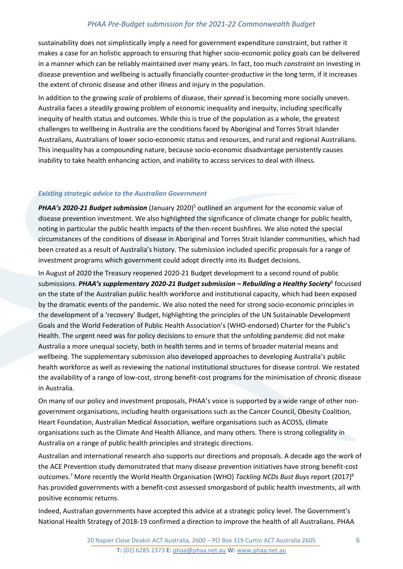sustainability does not simplistically imply a need for government expenditure constraint, but rather it makes a case for an holistic approach to ensuring that higher socio-economic policy goals can be delivered in a manner which can be reliably maintained over many years. In fact, too much *constraint* on investing in disease prevention and wellbeing is actually financially counter-productive in the long term, if it increases the extent of chronic disease and other illness and injury in the population.

In addition to the growing *scale* of problems of disease, their *spread* is becoming more socially uneven. Australia faces a steadily growing problem of economic inequality and inequity, including specifically inequity of health status and outcomes. While this is true of the population as a whole, the greatest challenges to wellbeing in Australia are the conditions faced by Aboriginal and Torres Strait Islander Australians, Australians of lower socio-economic status and resources, and rural and regional Australians. This inequality has a compounding nature, because socio-economic disadvantage persistently causes inability to take health enhancing action, and inability to access services to deal with illness.

#### *Existing strategic advice to the Australian Government*

**PHAA's 2020-21 Budget submission** (January 2020)<sup>5</sup> outlined an argument for the economic value of disease prevention investment. We also highlighted the significance of climate change for public health, noting in particular the public health impacts of the then-recent bushfires. We also noted the special circumstances of the conditions of disease in Aboriginal and Torres Strait Islander communities, which had been created as a result of Australia's history. The submission included specific proposals for a range of investment programs which government could adopt directly into its Budget decisions.

In August of 2020 the Treasury reopened 2020-21 Budget development to a second round of public submissions. *PHAA's supplementary 2020-21 Budget submission – Rebuilding a Healthy Society*<sup>6</sup> focussed on the state of the Australian public health workforce and institutional capacity, which had been exposed by the dramatic events of the pandemic. We also noted the need for strong socio-economic principles in the development of a 'recovery' Budget, highlighting the principles of the UN Sustainable Development Goals and the World Federation of Public Health Association's (WHO-endorsed) Charter for the Public's Health. The urgent need was for policy decisions to ensure that the unfolding pandemic did not make Australia a more unequal society, both in health terms and in terms of broader material means and wellbeing. The supplementary submission also developed approaches to developing Australia's public health workforce as well as reviewing the national institutional structures for disease control. We restated the availability of a range of low-cost, strong benefit-cost programs for the minimisation of chronic disease in Australia.

On many of our policy and investment proposals, PHAA's voice is supported by a wide range of other nongovernment organisations, including health organisations such as the Cancer Council, Obesity Coalition, Heart Foundation, Australian Medical Association, welfare organisations such as ACOSS, climate organisations such as the Climate And Health Alliance, and many others. There is strong collegiality in Australia on a range of public health principles and strategic directions.

Australian and international research also supports our directions and proposals. A decade ago the work of the ACE Prevention study demonstrated that many disease prevention initiatives have strong benefit-cost outcomes.<sup>7</sup> More recently the World Health Organisation (WHO) *Tackling NCDs Bust Buys* report (2017) 8 has provided governments with a benefit-cost assessed smorgasbord of public health investments, all with positive economic returns.

Indeed, Australian governments have accepted this advice at a strategic policy level. The Government's National Health Strategy of 2018-19 confirmed a direction to improve the health of all Australians. PHAA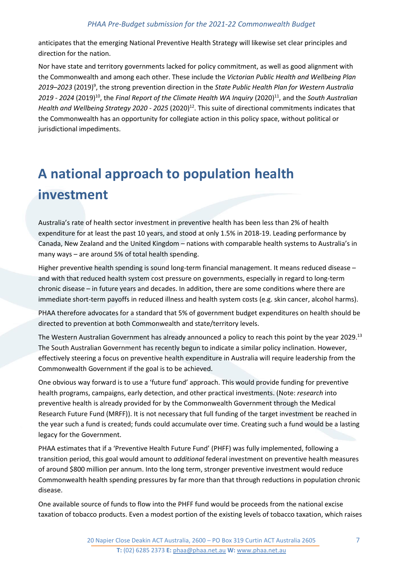anticipates that the emerging National Preventive Health Strategy will likewise set clear principles and direction for the nation.

Nor have state and territory governments lacked for policy commitment, as well as good alignment with the Commonwealth and among each other. These include the *Victorian Public Health and Wellbeing Plan 2019–2023* (2019) 9 , the strong prevention direction in the *[State Public Health Plan for Western Australia](https://ww2.health.wa.gov.au/-/media/Files/Corporate/general-documents/Public-Health-Act/State-public-health-plan/State-PH-Plan-2019-2024/State-Public-Health-Plan-WA.pdf)*  [2019 -](https://ww2.health.wa.gov.au/-/media/Files/Corporate/general-documents/Public-Health-Act/State-public-health-plan/State-PH-Plan-2019-2024/State-Public-Health-Plan-WA.pdf) 2024 (2019)<sup>10</sup>, the *Final Report of the Climate Health WA Inquiry* (2020)<sup>11</sup>, and the *South Australian Health and Wellbeing Strategy 2020 - 2025* (2020)<sup>12</sup>. This suite of directional commitments indicates that the Commonwealth has an opportunity for collegiate action in this policy space, without political or jurisdictional impediments.

## <span id="page-6-0"></span>**A national approach to population health investment**

Australia's rate of health sector investment in preventive health has been less than 2% of health expenditure for at least the past 10 years, and stood at only 1.5% in 2018-19. Leading performance by Canada, New Zealand and the United Kingdom – nations with comparable health systems to Australia's in many ways – are around 5% of total health spending.

Higher preventive health spending is sound long-term financial management. It means reduced disease – and with that reduced health system cost pressure on governments, especially in regard to long-term chronic disease – in future years and decades. In addition, there are some conditions where there are immediate short-term payoffs in reduced illness and health system costs (e.g. skin cancer, alcohol harms).

PHAA therefore advocates for a standard that 5% of government budget expenditures on health should be directed to prevention at both Commonwealth and state/territory levels.

The Western Australian Government has already announced a policy to reach this point by the year 2029.<sup>13</sup> The South Australian Government has recently begun to indicate a similar policy inclination. However, effectively steering a focus on preventive health expenditure in Australia will require leadership from the Commonwealth Government if the goal is to be achieved.

One obvious way forward is to use a 'future fund' approach. This would provide funding for preventive health programs, campaigns, early detection, and other practical investments. (Note: *research* into preventive health is already provided for by the Commonwealth Government through the Medical Research Future Fund (MRFF)). It is not necessary that full funding of the target investment be reached in the year such a fund is created; funds could accumulate over time. Creating such a fund would be a lasting legacy for the Government.

PHAA estimates that if a 'Preventive Health Future Fund' (PHFF) was fully implemented, following a transition period, this goal would amount to *additional* federal investment on preventive health measures of around \$800 million per annum. Into the long term, stronger preventive investment would reduce Commonwealth health spending pressures by far more than that through reductions in population chronic disease.

One available source of funds to flow into the PHFF fund would be proceeds from the national excise taxation of tobacco products. Even a modest portion of the existing levels of tobacco taxation, which raises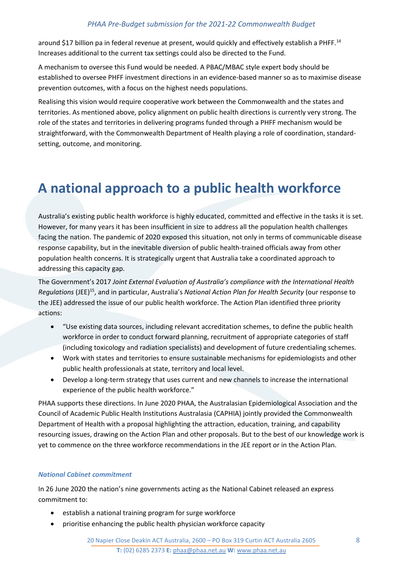around \$17 billion pa in federal revenue at present, would quickly and effectively establish a PHFF.<sup>14</sup> Increases additional to the current tax settings could also be directed to the Fund.

A mechanism to oversee this Fund would be needed. A PBAC/MBAC style expert body should be established to oversee PHFF investment directions in an evidence-based manner so as to maximise disease prevention outcomes, with a focus on the highest needs populations.

Realising this vision would require cooperative work between the Commonwealth and the states and territories. As mentioned above, policy alignment on public health directions is currently very strong. The role of the states and territories in delivering programs funded through a PHFF mechanism would be straightforward, with the Commonwealth Department of Health playing a role of coordination, standardsetting, outcome, and monitoring.

## <span id="page-7-0"></span>**A national approach to a public health workforce**

Australia's existing public health workforce is highly educated, committed and effective in the tasks it is set. However, for many years it has been insufficient in size to address all the population health challenges facing the nation. The pandemic of 2020 exposed this situation, not only in terms of communicable disease response capability, but in the inevitable diversion of public health-trained officials away from other population health concerns. It is strategically urgent that Australia take a coordinated approach to addressing this capacity gap.

The Government's 2017 *Joint External Evaluation of Australia's compliance with the International Health Regulations* (JEE) <sup>15</sup>, and in particular, Australia's *National Action Plan for Health Security* (our response to the JEE) addressed the issue of our public health workforce. The Action Plan identified three priority actions:

- "Use existing data sources, including relevant accreditation schemes, to define the public health workforce in order to conduct forward planning, recruitment of appropriate categories of staff (including toxicology and radiation specialists) and development of future credentialing schemes.
- Work with states and territories to ensure sustainable mechanisms for epidemiologists and other public health professionals at state, territory and local level.
- Develop a long-term strategy that uses current and new channels to increase the international experience of the public health workforce."

PHAA supports these directions. In June 2020 PHAA, the Australasian Epidemiological Association and the Council of Academic Public Health Institutions Australasia (CAPHIA) jointly provided the Commonwealth Department of Health with a proposal highlighting the attraction, education, training, and capability resourcing issues, drawing on the Action Plan and other proposals. But to the best of our knowledge work is yet to commence on the three workforce recommendations in the JEE report or in the Action Plan.

#### *National Cabinet commitment*

In 26 June 2020 the nation's nine governments acting as the National Cabinet released an express commitment to:

- establish a national training program for surge workforce
- prioritise enhancing the public health physician workforce capacity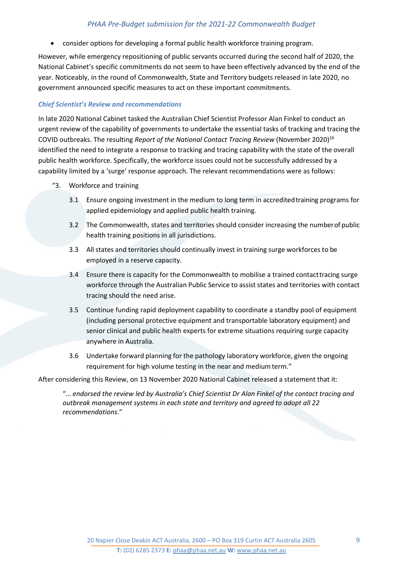consider options for developing a formal public health workforce training program.

However, while emergency repositioning of public servants occurred during the second half of 2020, the National Cabinet's specific commitments do not seem to have been effectively advanced by the end of the year. Noticeably, in the round of Commonwealth, State and Territory budgets released in late 2020, no government announced specific measures to act on these important commitments.

#### *Chief Scientist's Review and recommendations*

In late 2020 National Cabinet tasked the Australian Chief Scientist Professor Alan Finkel to conduct an urgent review of the capability of governments to undertake the essential tasks of tracking and tracing the COVID outbreaks. The resulting *Report of the National Contact Tracing Review* (November 2020)<sup>16</sup> identified the need to integrate a response to tracking and tracing capability with the state of the overall public health workforce. Specifically, the workforce issues could not be successfully addressed by a capability limited by a 'surge' response approach. The relevant recommendations were as follows:

- "3. Workforce and training
	- 3.1 Ensure ongoing investment in the medium to long term in accreditedtraining programs for applied epidemiology and applied public health training.
	- 3.2 The Commonwealth, states and territories should consider increasing the numberof public health training positions in all jurisdictions.
	- 3.3 All states and territories should continually invest in training surge workforces to be employed in a reserve capacity.
	- 3.4 Ensure there is capacity for the Commonwealth to mobilise a trained contacttracing surge workforce through the Australian Public Service to assist states and territories with contact tracing should the need arise.
	- 3.5 Continue funding rapid deployment capability to coordinate a standby pool of equipment (including personal protective equipment and transportable laboratory equipment) and senior clinical and public health experts for extreme situations requiring surge capacity anywhere in Australia.
	- 3.6 Undertake forward planning for the pathology laboratory workforce, given the ongoing requirement for high volume testing in the near and medium term."

After considering this Review, on 13 November 2020 National Cabinet released a statement that it:

"… *endorsed the review led by Australia's Chief Scientist Dr Alan Finkel of the contact tracing and outbreak management systems in each state and territory and agreed to adopt all 22 recommendations*."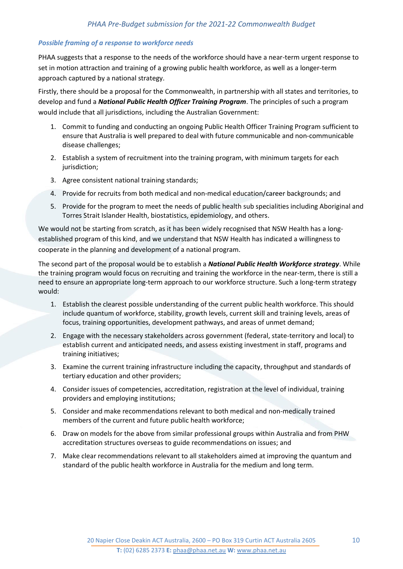#### *Possible framing of a response to workforce needs*

PHAA suggests that a response to the needs of the workforce should have a near-term urgent response to set in motion attraction and training of a growing public health workforce, as well as a longer-term approach captured by a national strategy.

Firstly, there should be a proposal for the Commonwealth, in partnership with all states and territories, to develop and fund a *National Public Health Officer Training Program*. The principles of such a program would include that all jurisdictions, including the Australian Government:

- 1. Commit to funding and conducting an ongoing Public Health Officer Training Program sufficient to ensure that Australia is well prepared to deal with future communicable and non-communicable disease challenges;
- 2. Establish a system of recruitment into the training program, with minimum targets for each jurisdiction;
- 3. Agree consistent national training standards;
- 4. Provide for recruits from both medical and non-medical education/career backgrounds; and
- 5. Provide for the program to meet the needs of public health sub specialities including Aboriginal and Torres Strait Islander Health, biostatistics, epidemiology, and others.

We would not be starting from scratch, as it has been widely recognised that NSW Health has a longestablished program of this kind, and we understand that NSW Health has indicated a willingness to cooperate in the planning and development of a national program.

The second part of the proposal would be to establish a *National Public Health Workforce strategy*. While the training program would focus on recruiting and training the workforce in the near-term, there is still a need to ensure an appropriate long-term approach to our workforce structure. Such a long-term strategy would:

- 1. Establish the clearest possible understanding of the current public health workforce. This should include quantum of workforce, stability, growth levels, current skill and training levels, areas of focus, training opportunities, development pathways, and areas of unmet demand;
- 2. Engage with the necessary stakeholders across government (federal, state-territory and local) to establish current and anticipated needs, and assess existing investment in staff, programs and training initiatives;
- 3. Examine the current training infrastructure including the capacity, throughput and standards of tertiary education and other providers;
- 4. Consider issues of competencies, accreditation, registration at the level of individual, training providers and employing institutions;
- 5. Consider and make recommendations relevant to both medical and non-medically trained members of the current and future public health workforce;
- 6. Draw on models for the above from similar professional groups within Australia and from PHW accreditation structures overseas to guide recommendations on issues; and
- 7. Make clear recommendations relevant to all stakeholders aimed at improving the quantum and standard of the public health workforce in Australia for the medium and long term.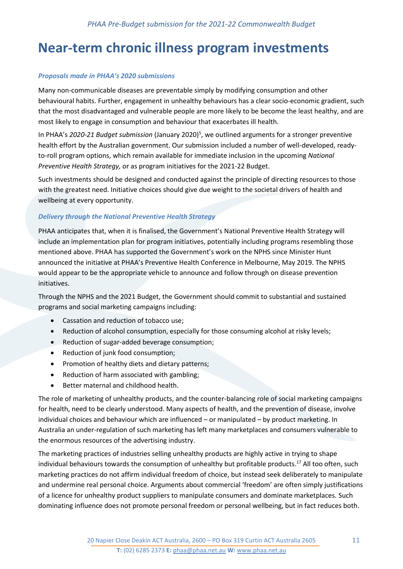## <span id="page-10-0"></span>**Near-term chronic illness program investments**

#### *Proposals made in PHAA's 2020 submissions*

Many non-communicable diseases are preventable simply by modifying consumption and other behavioural habits. Further, engagement in unhealthy behaviours has a clear socio-economic gradient, such that the most disadvantaged and vulnerable people are more likely to be become the least healthy, and are most likely to engage in consumption and behaviour that exacerbates ill health.

In PHAA's 2020-21 Budget submission (January 2020)<sup>5</sup>, we outlined arguments for a stronger preventive health effort by the Australian government. Our submission included a number of well-developed, readyto-roll program options, which remain available for immediate inclusion in the upcoming *National Preventive Health Strategy,* or as program initiatives for the 2021-22 Budget.

Such investments should be designed and conducted against the principle of directing resources to those with the greatest need. Initiative choices should give due weight to the societal drivers of health and wellbeing at every opportunity.

#### *Delivery through the National Preventive Health Strategy*

PHAA anticipates that, when it is finalised, the Government's National Preventive Health Strategy will include an implementation plan for program initiatives, potentially including programs resembling those mentioned above. PHAA has supported the Government's work on the NPHS since Minister Hunt announced the initiative at PHAA's Preventive Health Conference in Melbourne, May 2019. The NPHS would appear to be the appropriate vehicle to announce and follow through on disease prevention initiatives.

Through the NPHS and the 2021 Budget, the Government should commit to substantial and sustained programs and social marketing campaigns including:

- Cassation and reduction of tobacco use;
- Reduction of alcohol consumption, especially for those consuming alcohol at risky levels;
- Reduction of sugar-added beverage consumption;
- Reduction of junk food consumption:
- Promotion of healthy diets and dietary patterns;
- Reduction of harm associated with gambling;
- Better maternal and childhood health.

The role of marketing of unhealthy products, and the counter-balancing role of social marketing campaigns for health, need to be clearly understood. Many aspects of health, and the prevention of disease, involve individual choices and behaviour which are influenced – or manipulated – by product marketing. In Australia an under-regulation of such marketing has left many marketplaces and consumers vulnerable to the enormous resources of the advertising industry.

The marketing practices of industries selling unhealthy products are highly active in trying to shape individual behaviours towards the consumption of unhealthy but profitable products. <sup>17</sup> All too often, such marketing practices do not affirm individual freedom of choice, but instead seek deliberately to manipulate and undermine real personal choice. Arguments about commercial 'freedom' are often simply justifications of a licence for unhealthy product suppliers to manipulate consumers and dominate marketplaces. Such dominating influence does not promote personal freedom or personal wellbeing, but in fact reduces both.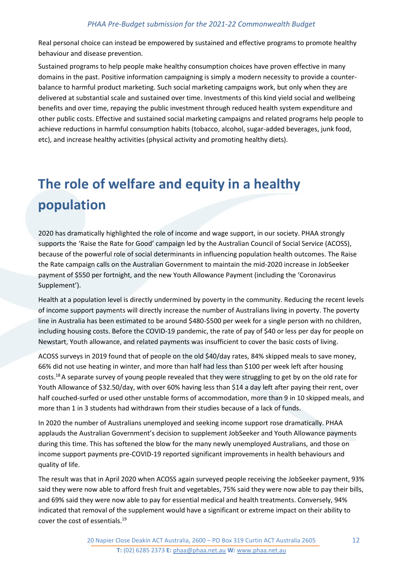Real personal choice can instead be empowered by sustained and effective programs to promote healthy behaviour and disease prevention.

Sustained programs to help people make healthy consumption choices have proven effective in many domains in the past. Positive information campaigning is simply a modern necessity to provide a counterbalance to harmful product marketing. Such social marketing campaigns work, but only when they are delivered at substantial scale and sustained over time. Investments of this kind yield social and wellbeing benefits and over time, repaying the public investment through reduced health system expenditure and other public costs. Effective and sustained social marketing campaigns and related programs help people to achieve reductions in harmful consumption habits (tobacco, alcohol, sugar-added beverages, junk food, etc), and increase healthy activities (physical activity and promoting healthy diets).

## <span id="page-11-0"></span>**The role of welfare and equity in a healthy population**

2020 has dramatically highlighted the role of income and wage support, in our society. PHAA strongly supports the 'Raise the Rate for Good' campaign led by the Australian Council of Social Service (ACOSS), because of the powerful role of social determinants in influencing population health outcomes. The Raise the Rate campaign calls on the Australian Government to maintain the mid-2020 increase in JobSeeker payment of \$550 per fortnight, and the new Youth Allowance Payment (including the 'Coronavirus Supplement').

Health at a population level is directly undermined by poverty in the community. Reducing the recent levels of income support payments will directly increase the number of Australians living in poverty. The poverty line in Australia has been estimated to be around \$480-\$500 per week for a single person with no children, including housing costs. Before the COVID-19 pandemic, the rate of pay of \$40 or less per day for people on Newstart, Youth allowance, and related payments was insufficient to cover the basic costs of living.

ACOSS surveys in 2019 found that of people on the old \$40/day rates, 84% skipped meals to save money, 66% did not use heating in winter, and more than half had less than \$100 per week left after housing costs. <sup>18</sup>A separate survey of young people revealed that they were struggling to get by on the old rate for Youth Allowance of \$32.50/day, with over 60% having less than \$14 a day left after paying their rent, over half couched-surfed or used other unstable forms of accommodation, more than 9 in 10 skipped meals, and more than 1 in 3 students had withdrawn from their studies because of a lack of funds.

In 2020 the number of Australians unemployed and seeking income support rose dramatically. PHAA applauds the Australian Government's decision to supplement JobSeeker and Youth Allowance payments during this time. This has softened the blow for the many newly unemployed Australians, and those on income support payments pre-COVID-19 reported significant improvements in health behaviours and quality of life.

The result was that in April 2020 when ACOSS again surveyed people receiving the JobSeeker payment, 93% said they were now able to afford fresh fruit and vegetables, 75% said they were now able to pay their bills, and 69% said they were now able to pay for essential medical and health treatments. Conversely, 94% indicated that removal of the supplement would have a significant or extreme impact on their ability to cover the cost of essentials.<sup>19</sup>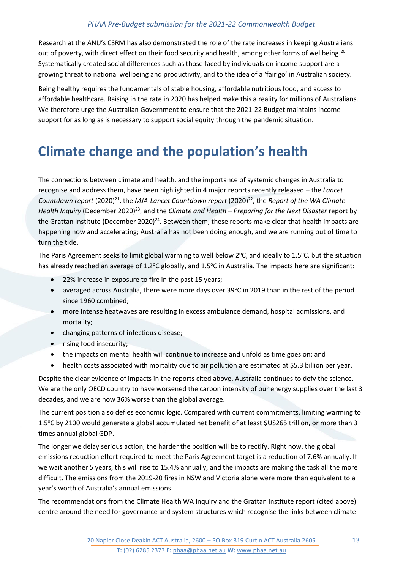Research at the ANU's CSRM has also demonstrated the role of the rate increases in keeping Australians out of poverty, with direct effect on their food security and health, among other forms of wellbeing.<sup>20</sup> Systematically created social differences such as those faced by individuals on income support are a growing threat to national wellbeing and productivity, and to the idea of a 'fair go' in Australian society.

Being healthy requires the fundamentals of stable housing, affordable nutritious food, and access to affordable healthcare. Raising in the rate in 2020 has helped make this a reality for millions of Australians. We therefore urge the Australian Government to ensure that the 2021-22 Budget maintains income support for as long as is necessary to support social equity through the pandemic situation.

## <span id="page-12-0"></span>**Climate change and the population's health**

The connections between climate and health, and the importance of systemic changes in Australia to recognise and address them, have been highlighted in 4 major reports recently released – the *Lancet*  Countdown report (2020)<sup>21</sup>, the MJA-Lancet Countdown report (2020)<sup>22</sup>, the *Report of the WA Climate* Health Inquiry (December 2020)<sup>23</sup>, and the *Climate and Health – Preparing for the Next Disaster* report by the Grattan Institute (December 2020)<sup>24</sup>. Between them, these reports make clear that health impacts are happening now and accelerating; Australia has not been doing enough, and we are running out of time to turn the tide.

The Paris Agreement seeks to limit global warming to well below 2°C, and ideally to 1.5°C, but the situation has already reached an average of 1.2°C globally, and 1.5°C in Australia. The impacts here are significant:

- 22% increase in exposure to fire in the past 15 years;
- averaged across Australia, there were more days over 39°C in 2019 than in the rest of the period since 1960 combined;
- more intense heatwaves are resulting in excess ambulance demand, hospital admissions, and mortality;
- changing patterns of infectious disease;
- rising food insecurity;
- the impacts on mental health will continue to increase and unfold as time goes on; and
- health costs associated with mortality due to air pollution are estimated at \$5.3 billion per year.

Despite the clear evidence of impacts in the reports cited above, Australia continues to defy the science. We are the only OECD country to have worsened the carbon intensity of our energy supplies over the last 3 decades, and we are now 36% worse than the global average.

The current position also defies economic logic. Compared with current commitments, limiting warming to 1.5°C by 2100 would generate a global accumulated net benefit of at least \$US265 trillion, or more than 3 times annual global GDP.

The longer we delay serious action, the harder the position will be to rectify. Right now, the global emissions reduction effort required to meet the Paris Agreement target is a reduction of 7.6% annually. If we wait another 5 years, this will rise to 15.4% annually, and the impacts are making the task all the more difficult. The emissions from the 2019-20 fires in NSW and Victoria alone were more than equivalent to a year's worth of Australia's annual emissions.

The recommendations from the Climate Health WA Inquiry and the Grattan Institute report (cited above) centre around the need for governance and system structures which recognise the links between climate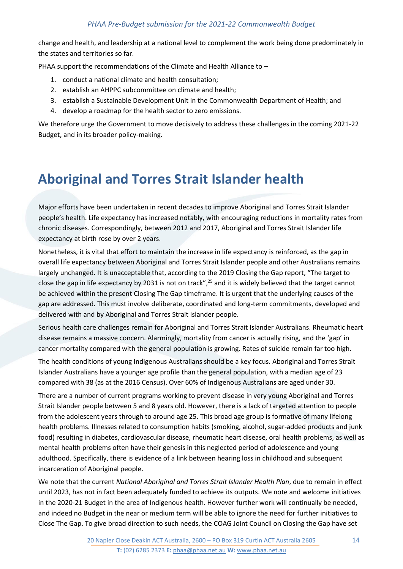change and health, and leadership at a national level to complement the work being done predominately in the states and territories so far.

PHAA support the recommendations of the Climate and Health Alliance to –

- 1. conduct a national climate and health consultation;
- 2. establish an AHPPC subcommittee on climate and health;
- 3. establish a Sustainable Development Unit in the Commonwealth Department of Health; and
- 4. develop a roadmap for the health sector to zero emissions.

We therefore urge the Government to move decisively to address these challenges in the coming 2021-22 Budget, and in its broader policy-making.

## <span id="page-13-0"></span>**Aboriginal and Torres Strait Islander health**

Major efforts have been undertaken in recent decades to improve Aboriginal and Torres Strait Islander people's health. Life expectancy has increased notably, with encouraging reductions in mortality rates from chronic diseases. Correspondingly, between 2012 and 2017, Aboriginal and Torres Strait Islander life expectancy at birth rose by over 2 years.

Nonetheless, it is vital that effort to maintain the increase in life expectancy is reinforced, as the gap in overall life expectancy between Aboriginal and Torres Strait Islander people and other Australians remains largely unchanged. It is unacceptable that, according to the 2019 Closing the Gap report, "The target to close the gap in life expectancy by 2031 is not on track",<sup>25</sup> and it is widely believed that the target cannot be achieved within the present Closing The Gap timeframe. It is urgent that the underlying causes of the gap are addressed. This must involve deliberate, coordinated and long-term commitments, developed and delivered with and by Aboriginal and Torres Strait Islander people.

Serious health care challenges remain for Aboriginal and Torres Strait Islander Australians. Rheumatic heart disease remains a massive concern. Alarmingly, mortality from cancer is actually rising, and the 'gap' in cancer mortality compared with the general population is growing. Rates of suicide remain far too high.

The health conditions of young Indigenous Australians should be a key focus. Aboriginal and Torres Strait Islander Australians have a younger age profile than the general population, with a median age of 23 compared with 38 (as at the 2016 Census). Over 60% of Indigenous Australians are aged under 30.

There are a number of current programs working to prevent disease in very young Aboriginal and Torres Strait Islander people between 5 and 8 years old. However, there is a lack of targeted attention to people from the adolescent years through to around age 25. This broad age group is formative of many lifelong health problems. Illnesses related to consumption habits (smoking, alcohol, sugar-added products and junk food) resulting in diabetes, cardiovascular disease, rheumatic heart disease, oral health problems, as well as mental health problems often have their genesis in this neglected period of adolescence and young adulthood. Specifically, there is evidence of a link between hearing loss in childhood and subsequent incarceration of Aboriginal people.

We note that the current *National Aboriginal and Torres Strait Islander Health Plan*, due to remain in effect until 2023, has not in fact been adequately funded to achieve its outputs. We note and welcome initiatives in the 2020-21 Budget in the area of Indigenous health. However further work will continually be needed, and indeed no Budget in the near or medium term will be able to ignore the need for further initiatives to Close The Gap. To give broad direction to such needs, the COAG Joint Council on Closing the Gap have set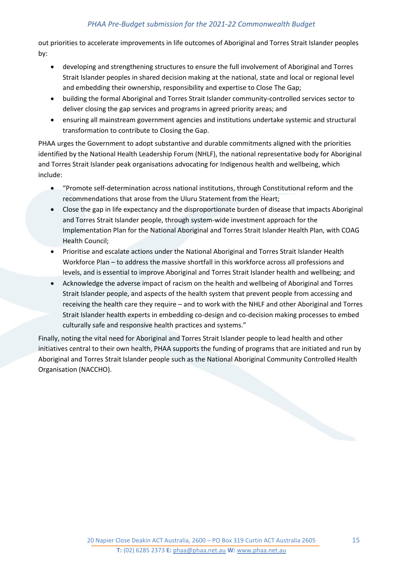out priorities to accelerate improvements in life outcomes of Aboriginal and Torres Strait Islander peoples by:

- developing and strengthening structures to ensure the full involvement of Aboriginal and Torres Strait Islander peoples in shared decision making at the national, state and local or regional level and embedding their ownership, responsibility and expertise to Close The Gap;
- building the formal Aboriginal and Torres Strait Islander community-controlled services sector to deliver closing the gap services and programs in agreed priority areas; and
- ensuring all mainstream government agencies and institutions undertake systemic and structural transformation to contribute to Closing the Gap.

PHAA urges the Government to adopt substantive and durable commitments aligned with the priorities identified by the National Health Leadership Forum (NHLF), the national representative body for Aboriginal and Torres Strait Islander peak organisations advocating for Indigenous health and wellbeing, which include:

- "Promote self-determination across national institutions, through Constitutional reform and the recommendations that arose from the Uluru Statement from the Heart;
- Close the gap in life expectancy and the disproportionate burden of disease that impacts Aboriginal and Torres Strait Islander people, through system-wide investment approach for the Implementation Plan for the National Aboriginal and Torres Strait Islander Health Plan, with COAG Health Council;
- Prioritise and escalate actions under the National Aboriginal and Torres Strait Islander Health Workforce Plan – to address the massive shortfall in this workforce across all professions and levels, and is essential to improve Aboriginal and Torres Strait Islander health and wellbeing; and
- Acknowledge the adverse impact of racism on the health and wellbeing of Aboriginal and Torres Strait Islander people, and aspects of the health system that prevent people from accessing and receiving the health care they require – and to work with the NHLF and other Aboriginal and Torres Strait Islander health experts in embedding co-design and co-decision making processes to embed culturally safe and responsive health practices and systems."

<span id="page-14-0"></span>Finally, noting the vital need for Aboriginal and Torres Strait Islander people to lead health and other initiatives central to their own health, PHAA supports the funding of programs that are initiated and run by Aboriginal and Torres Strait Islander people such as the National Aboriginal Community Controlled Health Organisation (NACCHO).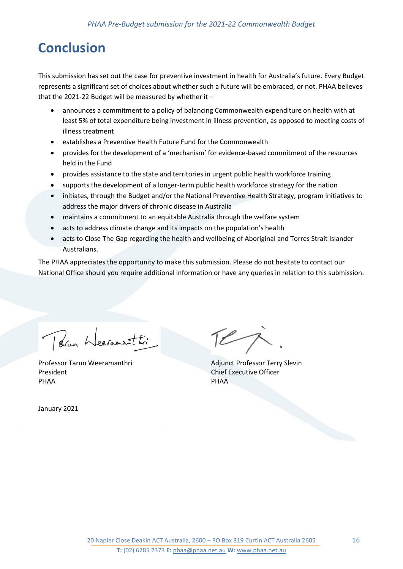## **Conclusion**

This submission has set out the case for preventive investment in health for Australia's future. Every Budget represents a significant set of choices about whether such a future will be embraced, or not. PHAA believes that the 2021-22 Budget will be measured by whether it –

- announces a commitment to a policy of balancing Commonwealth expenditure on health with at least 5% of total expenditure being investment in illness prevention, as opposed to meeting costs of illness treatment
- establishes a Preventive Health Future Fund for the Commonwealth
- provides for the development of a 'mechanism' for evidence-based commitment of the resources held in the Fund
- provides assistance to the state and territories in urgent public health workforce training
- supports the development of a longer-term public health workforce strategy for the nation
- initiates, through the Budget and/or the National Preventive Health Strategy, program initiatives to address the major drivers of chronic disease in Australia
- maintains a commitment to an equitable Australia through the welfare system
- acts to address climate change and its impacts on the population's health
- acts to Close The Gap regarding the health and wellbeing of Aboriginal and Torres Strait Islander Australians.

The PHAA appreciates the opportunity to make this submission. Please do not hesitate to contact our National Office should you require additional information or have any queries in relation to this submission.

Parm Weeranasthi

Professor Tarun Weeramanthri Adjunct Professor Terry Slevin President Chief Executive Officer PHAA PHAA

January 2021